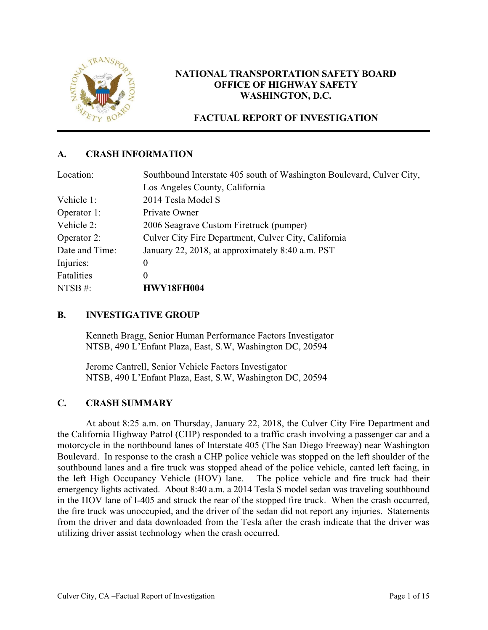

# **NATIONAL TRANSPORTATION SAFETY BOARD OFFICE OF HIGHWAY SAFETY WASHINGTON, D.C.**

# **FACTUAL REPORT OF INVESTIGATION**

# **A. CRASH INFORMATION**

| Location:      | Southbound Interstate 405 south of Washington Boulevard, Culver City, |
|----------------|-----------------------------------------------------------------------|
|                | Los Angeles County, California                                        |
| Vehicle 1:     | 2014 Tesla Model S                                                    |
| Operator 1:    | Private Owner                                                         |
| Vehicle 2:     | 2006 Seagrave Custom Firetruck (pumper)                               |
| Operator 2:    | Culver City Fire Department, Culver City, California                  |
| Date and Time: | January 22, 2018, at approximately 8:40 a.m. PST                      |
| Injuries:      | $\boldsymbol{0}$                                                      |
| Fatalities     | $\theta$                                                              |
| NTSB $#$ :     | <b>HWY18FH004</b>                                                     |

# **B. INVESTIGATIVE GROUP**

Kenneth Bragg, Senior Human Performance Factors Investigator NTSB, 490 L'Enfant Plaza, East, S.W, Washington DC, 20594

Jerome Cantrell, Senior Vehicle Factors Investigator NTSB, 490 L'Enfant Plaza, East, S.W, Washington DC, 20594

# **C. CRASH SUMMARY**

At about 8:25 a.m. on Thursday, January 22, 2018, the Culver City Fire Department and the California Highway Patrol (CHP) responded to a traffic crash involving a passenger car and a motorcycle in the northbound lanes of Interstate 405 (The San Diego Freeway) near Washington Boulevard. In response to the crash a CHP police vehicle was stopped on the left shoulder of the southbound lanes and a fire truck was stopped ahead of the police vehicle, canted left facing, in the left High Occupancy Vehicle (HOV) lane. The police vehicle and fire truck had their emergency lights activated. About 8:40 a.m. a 2014 Tesla S model sedan was traveling southbound in the HOV lane of I-405 and struck the rear of the stopped fire truck. When the crash occurred, the fire truck was unoccupied, and the driver of the sedan did not report any injuries. Statements from the driver and data downloaded from the Tesla after the crash indicate that the driver was utilizing driver assist technology when the crash occurred.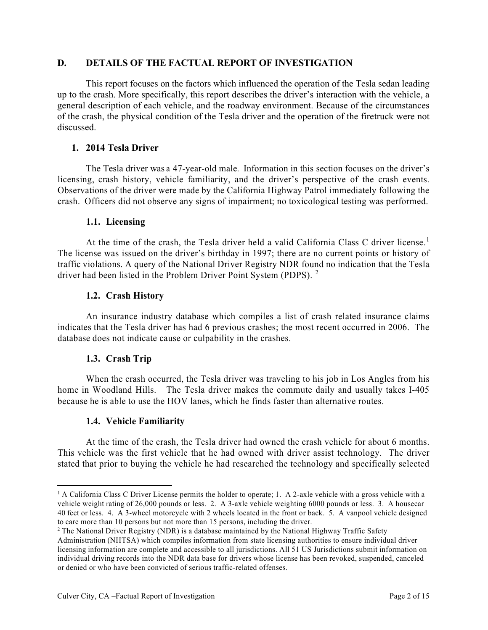## **D. DETAILS OF THE FACTUAL REPORT OF INVESTIGATION**

This report focuses on the factors which influenced the operation of the Tesla sedan leading up to the crash. More specifically, this report describes the driver's interaction with the vehicle, a general description of each vehicle, and the roadway environment. Because of the circumstances of the crash, the physical condition of the Tesla driver and the operation of the firetruck were not discussed.

## **1. 2014 Tesla Driver**

The Tesla driver was a 47-year-old male. Information in this section focuses on the driver's licensing, crash history, vehicle familiarity, and the driver's perspective of the crash events. Observations of the driver were made by the California Highway Patrol immediately following the crash. Officers did not observe any signs of impairment; no toxicological testing was performed.

### **1.1. Licensing**

At the time of the crash, the Tesla driver held a valid California Class C driver license.<sup>1</sup> The license was issued on the driver's birthday in 1997; there are no current points or history of traffic violations. A query of the National Driver Registry NDR found no indication that the Tesla driver had been listed in the Problem Driver Point System (PDPS). <sup>2</sup>

## **1.2. Crash History**

An insurance industry database which compiles a list of crash related insurance claims indicates that the Tesla driver has had 6 previous crashes; the most recent occurred in 2006. The database does not indicate cause or culpability in the crashes.

### **1.3. Crash Trip**

When the crash occurred, the Tesla driver was traveling to his job in Los Angles from his home in Woodland Hills. The Tesla driver makes the commute daily and usually takes I-405 because he is able to use the HOV lanes, which he finds faster than alternative routes.

# **1.4. Vehicle Familiarity**

At the time of the crash, the Tesla driver had owned the crash vehicle for about 6 months. This vehicle was the first vehicle that he had owned with driver assist technology. The driver stated that prior to buying the vehicle he had researched the technology and specifically selected

<sup>&</sup>lt;sup>1</sup> A California Class C Driver License permits the holder to operate; 1. A 2-axle vehicle with a gross vehicle with a vehicle weight rating of 26,000 pounds or less. 2. A 3-axle vehicle weighting 6000 pounds or less. 3. A housecar 40 feet or less. 4. A 3-wheel motorcycle with 2 wheels located in the front or back. 5. A vanpool vehicle designed to care more than 10 persons but not more than 15 persons, including the driver.

<sup>&</sup>lt;sup>2</sup> The National Driver Registry (NDR) is a database maintained by the National Highway Traffic Safety

Administration (NHTSA) which compiles information from state licensing authorities to ensure individual driver licensing information are complete and accessible to all jurisdictions. All 51 US Jurisdictions submit information on individual driving records into the NDR data base for drivers whose license has been revoked, suspended, canceled or denied or who have been convicted of serious traffic-related offenses.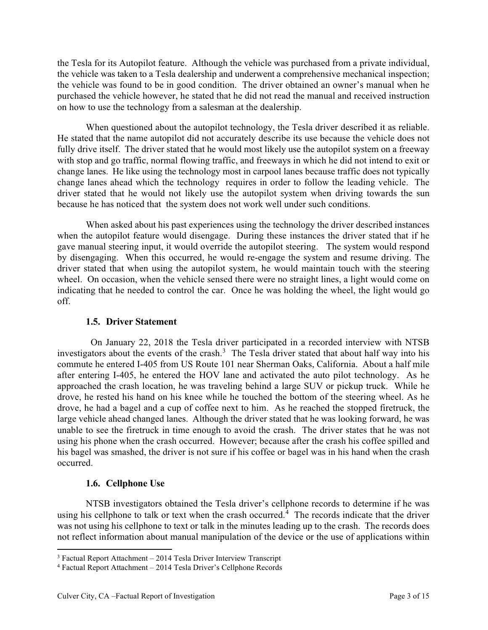the Tesla for its Autopilot feature. Although the vehicle was purchased from a private individual, the vehicle was taken to a Tesla dealership and underwent a comprehensive mechanical inspection; the vehicle was found to be in good condition. The driver obtained an owner's manual when he purchased the vehicle however, he stated that he did not read the manual and received instruction on how to use the technology from a salesman at the dealership.

When questioned about the autopilot technology, the Tesla driver described it as reliable. He stated that the name autopilot did not accurately describe its use because the vehicle does not fully drive itself. The driver stated that he would most likely use the autopilot system on a freeway with stop and go traffic, normal flowing traffic, and freeways in which he did not intend to exit or change lanes. He like using the technology most in carpool lanes because traffic does not typically change lanes ahead which the technology requires in order to follow the leading vehicle. The driver stated that he would not likely use the autopilot system when driving towards the sun because he has noticed that the system does not work well under such conditions.

When asked about his past experiences using the technology the driver described instances when the autopilot feature would disengage. During these instances the driver stated that if he gave manual steering input, it would override the autopilot steering. The system would respond by disengaging. When this occurred, he would re-engage the system and resume driving. The driver stated that when using the autopilot system, he would maintain touch with the steering wheel. On occasion, when the vehicle sensed there were no straight lines, a light would come on indicating that he needed to control the car. Once he was holding the wheel, the light would go off.

### **1.5. Driver Statement**

 On January 22, 2018 the Tesla driver participated in a recorded interview with NTSB investigators about the events of the crash.<sup>3</sup> The Tesla driver stated that about half way into his commute he entered I-405 from US Route 101 near Sherman Oaks, California. About a half mile after entering I-405, he entered the HOV lane and activated the auto pilot technology. As he approached the crash location, he was traveling behind a large SUV or pickup truck. While he drove, he rested his hand on his knee while he touched the bottom of the steering wheel. As he drove, he had a bagel and a cup of coffee next to him. As he reached the stopped firetruck, the large vehicle ahead changed lanes. Although the driver stated that he was looking forward, he was unable to see the firetruck in time enough to avoid the crash. The driver states that he was not using his phone when the crash occurred. However; because after the crash his coffee spilled and his bagel was smashed, the driver is not sure if his coffee or bagel was in his hand when the crash occurred.

# **1.6. Cellphone Use**

NTSB investigators obtained the Tesla driver's cellphone records to determine if he was using his cellphone to talk or text when the crash occurred.<sup>4</sup> The records indicate that the driver was not using his cellphone to text or talk in the minutes leading up to the crash. The records does not reflect information about manual manipulation of the device or the use of applications within

 $3$  Factual Report Attachment – 2014 Tesla Driver Interview Transcript

<sup>4</sup> Factual Report Attachment – 2014 Tesla Driver's Cellphone Records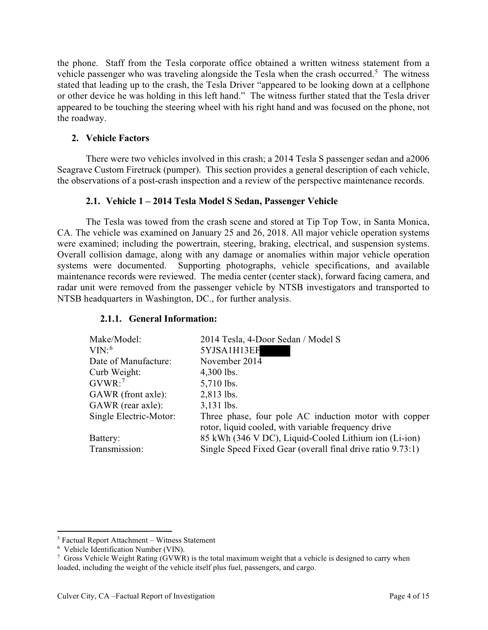the phone. Staff from the Tesla corporate office obtained a written witness statement from a vehicle passenger who was traveling alongside the Tesla when the crash occurred.<sup>5</sup> The witness stated that leading up to the crash, the Tesla Driver "appeared to be looking down at a cellphone or other device he was holding in this left hand." The witness further stated that the Tesla driver appeared to be touching the steering wheel with his right hand and was focused on the phone, not the roadway.

## **2. Vehicle Factors**

There were two vehicles involved in this crash; a 2014 Tesla S passenger sedan and a2006 Seagrave Custom Firetruck (pumper). This section provides a general description of each vehicle, the observations of a post-crash inspection and a review of the perspective maintenance records.

## **2.1. Vehicle 1 – 2014 Tesla Model S Sedan, Passenger Vehicle**

The Tesla was towed from the crash scene and stored at Tip Top Tow, in Santa Monica, CA. The vehicle was examined on January 25 and 26, 2018. All major vehicle operation systems were examined; including the powertrain, steering, braking, electrical, and suspension systems. Overall collision damage, along with any damage or anomalies within major vehicle operation systems were documented. Supporting photographs, vehicle specifications, and available maintenance records were reviewed. The media center (center stack), forward facing camera, and radar unit were removed from the passenger vehicle by NTSB investigators and transported to NTSB headquarters in Washington, DC., for further analysis.

### **2.1.1. General Information:**

| Make/Model:            | 2014 Tesla, 4-Door Sedan / Model S                                                                           |
|------------------------|--------------------------------------------------------------------------------------------------------------|
| $VIN:$ <sup>6</sup>    | 5YJSA1H13EF                                                                                                  |
| Date of Manufacture:   | November 2014                                                                                                |
| Curb Weight:           | $4,300$ lbs.                                                                                                 |
| $GVWR$ : <sup>7</sup>  | 5,710 lbs.                                                                                                   |
| GAWR (front axle):     | 2,813 lbs.                                                                                                   |
| GAWR (rear axle):      | $3,131$ lbs.                                                                                                 |
| Single Electric-Motor: | Three phase, four pole AC induction motor with copper<br>rotor, liquid cooled, with variable frequency drive |
| Battery:               | 85 kWh (346 V DC), Liquid-Cooled Lithium ion (Li-ion)                                                        |
| Transmission:          | Single Speed Fixed Gear (overall final drive ratio 9.73:1)                                                   |

<sup>5</sup> Factual Report Attachment – Witness Statement

<sup>6</sup> Vehicle Identification Number (VIN).

<sup>&</sup>lt;sup>7</sup> Gross Vehicle Weight Rating (GVWR) is the total maximum weight that a vehicle is designed to carry when loaded, including the weight of the vehicle itself plus fuel, passengers, and cargo.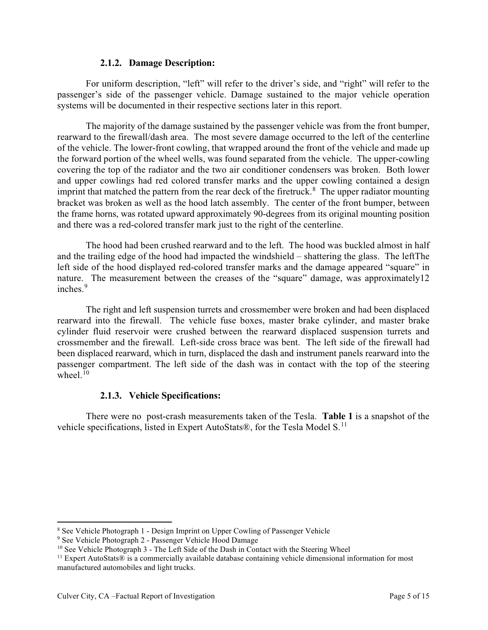#### **2.1.2. Damage Description:**

For uniform description, "left" will refer to the driver's side, and "right" will refer to the passenger's side of the passenger vehicle. Damage sustained to the major vehicle operation systems will be documented in their respective sections later in this report.

The majority of the damage sustained by the passenger vehicle was from the front bumper, rearward to the firewall/dash area. The most severe damage occurred to the left of the centerline of the vehicle. The lower-front cowling, that wrapped around the front of the vehicle and made up the forward portion of the wheel wells, was found separated from the vehicle. The upper-cowling covering the top of the radiator and the two air conditioner condensers was broken. Both lower and upper cowlings had red colored transfer marks and the upper cowling contained a design imprint that matched the pattern from the rear deck of the firetruck.<sup>8</sup> The upper radiator mounting bracket was broken as well as the hood latch assembly. The center of the front bumper, between the frame horns, was rotated upward approximately 90-degrees from its original mounting position and there was a red-colored transfer mark just to the right of the centerline.

The hood had been crushed rearward and to the left. The hood was buckled almost in half and the trailing edge of the hood had impacted the windshield – shattering the glass. The leftThe left side of the hood displayed red-colored transfer marks and the damage appeared "square" in nature. The measurement between the creases of the "square" damage, was approximately12 inches. 9

The right and left suspension turrets and crossmember were broken and had been displaced rearward into the firewall. The vehicle fuse boxes, master brake cylinder, and master brake cylinder fluid reservoir were crushed between the rearward displaced suspension turrets and crossmember and the firewall. Left-side cross brace was bent. The left side of the firewall had been displaced rearward, which in turn, displaced the dash and instrument panels rearward into the passenger compartment. The left side of the dash was in contact with the top of the steering wheel. $10$ 

### **2.1.3. Vehicle Specifications:**

There were no post-crash measurements taken of the Tesla. **Table 1** is a snapshot of the vehicle specifications, listed in Expert AutoStats®, for the Tesla Model S.<sup>11</sup>

<sup>8</sup> See Vehicle Photograph 1 - Design Imprint on Upper Cowling of Passenger Vehicle

<sup>&</sup>lt;sup>9</sup> See Vehicle Photograph 2 - Passenger Vehicle Hood Damage

<sup>&</sup>lt;sup>10</sup> See Vehicle Photograph 3 - The Left Side of the Dash in Contact with the Steering Wheel

<sup>11</sup> Expert AutoStats® is a commercially available database containing vehicle dimensional information for most manufactured automobiles and light trucks.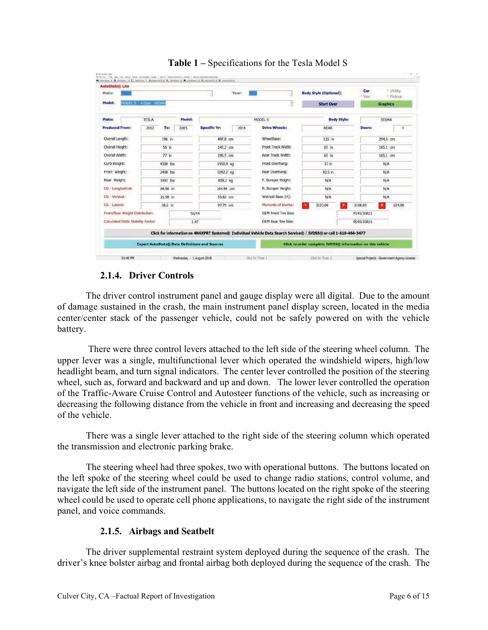| <b>AutoStats® Lite</b>                      |                          |                                              |           |                                                |                                                       |                   |                                                          |                                                                                                                   |          |                                                            |              |                 |                        |
|---------------------------------------------|--------------------------|----------------------------------------------|-----------|------------------------------------------------|-------------------------------------------------------|-------------------|----------------------------------------------------------|-------------------------------------------------------------------------------------------------------------------|----------|------------------------------------------------------------|--------------|-----------------|------------------------|
| Make:                                       |                          |                                              |           |                                                |                                                       | Year:             |                                                          |                                                                                                                   |          | <b>Body Style (Optional):</b>                              | Car<br>o Van |                 | = Utility<br>r Pickup. |
| Model:                                      |                          | MODEL S 4 Door SEDAN                         |           |                                                |                                                       |                   |                                                          |                                                                                                                   |          | <b>Start Over</b>                                          |              | <b>Graphics</b> |                        |
| Make:<br>Model:<br><b>TESLA</b>             |                          |                                              | MODEL S   |                                                |                                                       |                   | <b>Body Style:</b>                                       |                                                                                                                   | SEDAN    |                                                            |              |                 |                        |
| <b>Produced From:</b>                       |                          | 2012                                         | To:       | 2015                                           | <b>Specific Yr:</b>                                   | 2014              |                                                          | <b>Drive Wheels:</b>                                                                                              |          | <b>REAR</b>                                                | Doors:       |                 |                        |
| Overall Length:                             |                          | 196 in                                       |           | 497.8 cm                                       |                                                       |                   | WheelBase:                                               | 116 in                                                                                                            |          |                                                            | 294.6 cm     |                 |                        |
| Overall Height:<br>56 in                    |                          | 142.2 cm                                     |           |                                                | Front Track Width:                                    | 65 in             |                                                          | 165.1 cm                                                                                                          |          |                                                            |              |                 |                        |
| Overall Width:<br>$77$ in                   |                          | 195.5 cm                                     |           |                                                | Rear Track Width:                                     | 65 in             |                                                          |                                                                                                                   | 165.1 cm |                                                            |              |                 |                        |
|                                             | Curb Weight:<br>4300 lbs |                                              | 1950.4 kg |                                                |                                                       | Front Overhang:   | $37$ in                                                  |                                                                                                                   |          | N/A                                                        |              |                 |                        |
| Front Weight:                               |                          | 2408 lbs<br>1892 lbs<br>64.96 in<br>21.98 in |           | 1092.2 kg<br>858.2 kg<br>164.99 cm<br>55.82 cm |                                                       |                   | Rear Overhang:<br>F. Bumper Height:<br>R. Bumper Height: | 42.5 in<br>N/A<br>N/A                                                                                             |          |                                                            | N/A          |                 |                        |
| Rear Weight:                                |                          |                                              |           |                                                |                                                       |                   |                                                          |                                                                                                                   |          |                                                            | N/A          |                 |                        |
|                                             | CG + Longitudinal:       |                                              |           |                                                |                                                       |                   |                                                          |                                                                                                                   |          |                                                            | N/A          |                 |                        |
| CG - Vertical:                              |                          |                                              |           |                                                |                                                       | Wshield Base (H): | N/A                                                      |                                                                                                                   |          | N/A                                                        |              |                 |                        |
| CG - Lateral:                               |                          |                                              | 38.5 in   |                                                | 97.79 cm                                              |                   |                                                          | Moments of Inertia:                                                                                               |          | 3223.00<br>P                                               | 3108.00      | $\mathbf R$     | 624.00                 |
| Front/Rear Weight Distribution:<br>56/44    |                          |                                              |           |                                                | <b>OEM Front Tire Size:</b>                           |                   |                                                          | P245/35R21                                                                                                        |          |                                                            |              |                 |                        |
| Calculated Static Stability Factor:<br>1.47 |                          |                                              |           |                                                | <b>OEM Rear Tire Size:</b>                            |                   |                                                          | P245/35R21                                                                                                        |          |                                                            |              |                 |                        |
|                                             |                          |                                              |           |                                                |                                                       |                   |                                                          | Click for information on 4N6XPRT Systems® Individual Vehicle Data Search Service® / IVDSS® or call 1-619-464-3477 |          |                                                            |              |                 |                        |
|                                             |                          |                                              |           |                                                | <b>Expert AutoStats® Data Definitions and Sources</b> |                   |                                                          |                                                                                                                   |          | Click to order complete IVDSS® information on this vehicle |              |                 |                        |



# **2.1.4. Driver Controls**

The driver control instrument panel and gauge display were all digital. Due to the amount of damage sustained in the crash, the main instrument panel display screen, located in the media center/center stack of the passenger vehicle, could not be safely powered on with the vehicle battery.

 There were three control levers attached to the left side of the steering wheel column. The upper lever was a single, multifunctional lever which operated the windshield wipers, high/low headlight beam, and turn signal indicators. The center lever controlled the position of the steering wheel, such as, forward and backward and up and down. The lower lever controlled the operation of the Traffic-Aware Cruise Control and Autosteer functions of the vehicle, such as increasing or decreasing the following distance from the vehicle in front and increasing and decreasing the speed of the vehicle.

There was a single lever attached to the right side of the steering column which operated the transmission and electronic parking brake.

The steering wheel had three spokes, two with operational buttons. The buttons located on the left spoke of the steering wheel could be used to change radio stations, control volume, and navigate the left side of the instrument panel. The buttons located on the right spoke of the steering wheel could be used to operate cell phone applications, to navigate the right side of the instrument panel, and voice commands.

# **2.1.5. Airbags and Seatbelt**

The driver supplemental restraint system deployed during the sequence of the crash. The driver's knee bolster airbag and frontal airbag both deployed during the sequence of the crash. The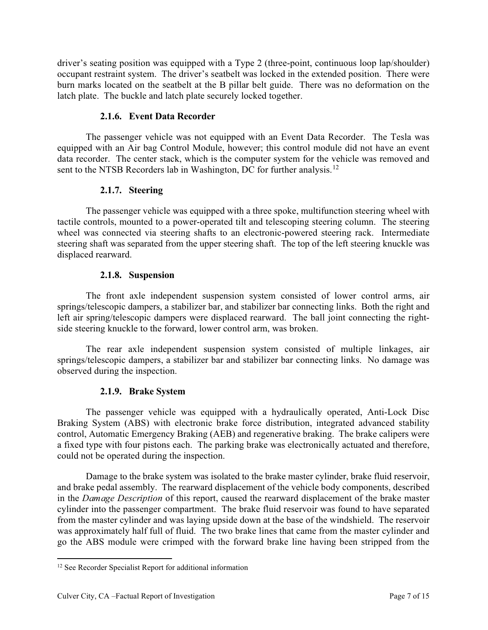driver's seating position was equipped with a Type 2 (three-point, continuous loop lap/shoulder) occupant restraint system. The driver's seatbelt was locked in the extended position. There were burn marks located on the seatbelt at the B pillar belt guide. There was no deformation on the latch plate. The buckle and latch plate securely locked together.

# **2.1.6. Event Data Recorder**

The passenger vehicle was not equipped with an Event Data Recorder. The Tesla was equipped with an Air bag Control Module, however; this control module did not have an event data recorder. The center stack, which is the computer system for the vehicle was removed and sent to the NTSB Recorders lab in Washington, DC for further analysis.<sup>12</sup>

# **2.1.7. Steering**

The passenger vehicle was equipped with a three spoke, multifunction steering wheel with tactile controls, mounted to a power-operated tilt and telescoping steering column. The steering wheel was connected via steering shafts to an electronic-powered steering rack. Intermediate steering shaft was separated from the upper steering shaft. The top of the left steering knuckle was displaced rearward.

# **2.1.8. Suspension**

The front axle independent suspension system consisted of lower control arms, air springs/telescopic dampers, a stabilizer bar, and stabilizer bar connecting links. Both the right and left air spring/telescopic dampers were displaced rearward. The ball joint connecting the rightside steering knuckle to the forward, lower control arm, was broken.

The rear axle independent suspension system consisted of multiple linkages, air springs/telescopic dampers, a stabilizer bar and stabilizer bar connecting links. No damage was observed during the inspection.

# **2.1.9. Brake System**

The passenger vehicle was equipped with a hydraulically operated, Anti-Lock Disc Braking System (ABS) with electronic brake force distribution, integrated advanced stability control, Automatic Emergency Braking (AEB) and regenerative braking. The brake calipers were a fixed type with four pistons each. The parking brake was electronically actuated and therefore, could not be operated during the inspection.

Damage to the brake system was isolated to the brake master cylinder, brake fluid reservoir, and brake pedal assembly. The rearward displacement of the vehicle body components, described in the *Damage Description* of this report, caused the rearward displacement of the brake master cylinder into the passenger compartment. The brake fluid reservoir was found to have separated from the master cylinder and was laying upside down at the base of the windshield. The reservoir was approximately half full of fluid. The two brake lines that came from the master cylinder and go the ABS module were crimped with the forward brake line having been stripped from the

<sup>&</sup>lt;sup>12</sup> See Recorder Specialist Report for additional information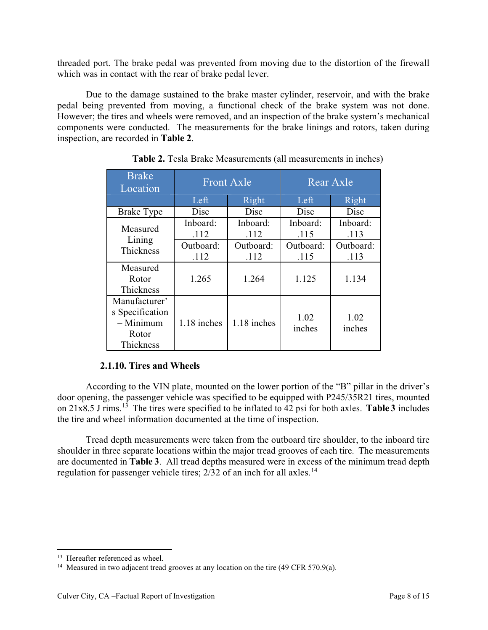threaded port. The brake pedal was prevented from moving due to the distortion of the firewall which was in contact with the rear of brake pedal lever.

Due to the damage sustained to the brake master cylinder, reservoir, and with the brake pedal being prevented from moving, a functional check of the brake system was not done. However; the tires and wheels were removed, and an inspection of the brake system's mechanical components were conducted. The measurements for the brake linings and rotors, taken during inspection, are recorded in **Table 2**.

| <b>Brake</b><br>Location                                              | <b>Front Axle</b> |                   | Rear Axle         |                   |  |  |
|-----------------------------------------------------------------------|-------------------|-------------------|-------------------|-------------------|--|--|
|                                                                       | Left              | Right             | Left              | Right             |  |  |
| <b>Brake Type</b>                                                     | Disc              | Disc              | Disc              | Disc              |  |  |
| Measured<br>Lining<br>Thickness                                       | Inboard:<br>.112  | Inboard:<br>.112  | Inboard:<br>.115  | Inboard:<br>.113  |  |  |
|                                                                       | Outboard:<br>.112 | Outboard:<br>.112 | Outboard:<br>.115 | Outboard:<br>.113 |  |  |
| Measured<br>Rotor<br>Thickness                                        | 1.265             | 1.264             | 1.125             | 1.134             |  |  |
| Manufacturer'<br>s Specification<br>$-$ Minimum<br>Rotor<br>Thickness | 1.18 inches       | 1.18 inches       | 1.02<br>inches    | 1.02<br>inches    |  |  |

**Table 2.** Tesla Brake Measurements (all measurements in inches)

# **2.1.10. Tires and Wheels**

According to the VIN plate, mounted on the lower portion of the "B" pillar in the driver's door opening, the passenger vehicle was specified to be equipped with P245/35R21 tires, mounted on 21x8.5 J rims. <sup>13</sup> The tires were specified to be inflated to 42 psi for both axles. **Table 3** includes the tire and wheel information documented at the time of inspection.

Tread depth measurements were taken from the outboard tire shoulder, to the inboard tire shoulder in three separate locations within the major tread grooves of each tire. The measurements are documented in **Table 3**. All tread depths measured were in excess of the minimum tread depth regulation for passenger vehicle tires; 2/32 of an inch for all axles.<sup>14</sup>

<sup>&</sup>lt;sup>13</sup> Hereafter referenced as wheel.

<sup>&</sup>lt;sup>14</sup> Measured in two adjacent tread grooves at any location on the tire (49 CFR 570.9(a).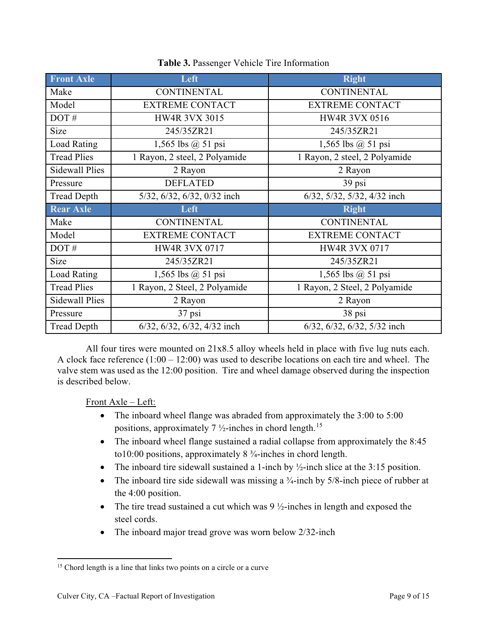| <b>Front Axle</b>     | Left                          | <b>Right</b>                  |  |  |
|-----------------------|-------------------------------|-------------------------------|--|--|
| Make                  | <b>CONTINENTAL</b>            | <b>CONTINENTAL</b>            |  |  |
| Model                 | <b>EXTREME CONTACT</b>        | <b>EXTREME CONTACT</b>        |  |  |
| DOT#                  | <b>HW4R 3VX 3015</b>          | <b>HW4R 3VX 0516</b>          |  |  |
| Size                  | 245/35ZR21                    | 245/35ZR21                    |  |  |
| <b>Load Rating</b>    | 1,565 lbs $(a)$ 51 psi        | 1,565 lbs $@$ 51 psi          |  |  |
| <b>Tread Plies</b>    | 1 Rayon, 2 steel, 2 Polyamide | 1 Rayon, 2 steel, 2 Polyamide |  |  |
| <b>Sidewall Plies</b> | 2 Rayon                       | 2 Rayon                       |  |  |
| Pressure              | <b>DEFLATED</b>               | 39 psi                        |  |  |
| <b>Tread Depth</b>    | 5/32, 6/32, 6/32, 0/32 inch   | 6/32, 5/32, 5/32, 4/32 inch   |  |  |
| <b>Rear Axle</b>      | Left                          | <b>Right</b>                  |  |  |
|                       |                               |                               |  |  |
| Make                  | <b>CONTINENTAL</b>            | <b>CONTINENTAL</b>            |  |  |
| Model                 | <b>EXTREME CONTACT</b>        | <b>EXTREME CONTACT</b>        |  |  |
| DOT#                  | <b>HW4R 3VX 0717</b>          | <b>HW4R 3VX 0717</b>          |  |  |
| Size                  | 245/35ZR21                    | 245/35ZR21                    |  |  |
| <b>Load Rating</b>    | 1,565 lbs $@$ 51 psi          | 1,565 lbs $(a)$ 51 psi        |  |  |
| <b>Tread Plies</b>    | 1 Rayon, 2 Steel, 2 Polyamide | 1 Rayon, 2 Steel, 2 Polyamide |  |  |
| <b>Sidewall Plies</b> | 2 Rayon                       | 2 Rayon                       |  |  |
| Pressure              | $37$ psi                      | 38 psi                        |  |  |

**Table 3.** Passenger Vehicle Tire Information

All four tires were mounted on 21x8.5 alloy wheels held in place with five lug nuts each. A clock face reference (1:00 – 12:00) was used to describe locations on each tire and wheel. The valve stem was used as the 12:00 position. Tire and wheel damage observed during the inspection is described below.

Front Axle – Left:

- The inboard wheel flange was abraded from approximately the 3:00 to 5:00 positions, approximately 7  $\frac{1}{2}$ -inches in chord length.<sup>15</sup>
- The inboard wheel flange sustained a radial collapse from approximately the 8:45 to10:00 positions, approximately 8 ¾-inches in chord length.
- The inboard tire sidewall sustained a 1-inch by  $\frac{1}{2}$ -inch slice at the 3:15 position.
- The inboard tire side sidewall was missing a  $\frac{3}{4}$ -inch by 5/8-inch piece of rubber at the 4:00 position.
- The tire tread sustained a cut which was  $9\frac{1}{2}$ -inches in length and exposed the steel cords.
- The inboard major tread grove was worn below 2/32-inch

<sup>&</sup>lt;sup>15</sup> Chord length is a line that links two points on a circle or a curve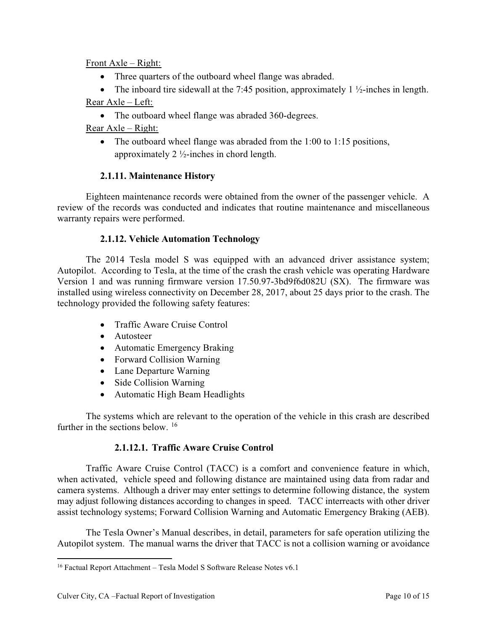## Front Axle – Right:

- Three quarters of the outboard wheel flange was abraded.
- The inboard tire sidewall at the 7:45 position, approximately 1  $\frac{1}{2}$ -inches in length.

# Rear Axle – Left:

• The outboard wheel flange was abraded 360-degrees.

# Rear Axle – Right:

• The outboard wheel flange was abraded from the 1:00 to 1:15 positions, approximately  $2\frac{1}{2}$ -inches in chord length.

# **2.1.11. Maintenance History**

Eighteen maintenance records were obtained from the owner of the passenger vehicle. A review of the records was conducted and indicates that routine maintenance and miscellaneous warranty repairs were performed.

# **2.1.12. Vehicle Automation Technology**

The 2014 Tesla model S was equipped with an advanced driver assistance system; Autopilot. According to Tesla, at the time of the crash the crash vehicle was operating Hardware Version 1 and was running firmware version 17.50.97-3bd9f6d082U (SX). The firmware was installed using wireless connectivity on December 28, 2017, about 25 days prior to the crash. The technology provided the following safety features:

- Traffic Aware Cruise Control
- Autosteer
- Automatic Emergency Braking
- Forward Collision Warning
- Lane Departure Warning
- Side Collision Warning
- Automatic High Beam Headlights

The systems which are relevant to the operation of the vehicle in this crash are described further in the sections below. <sup>16</sup>

# **2.1.12.1. Traffic Aware Cruise Control**

Traffic Aware Cruise Control (TACC) is a comfort and convenience feature in which, when activated, vehicle speed and following distance are maintained using data from radar and camera systems. Although a driver may enter settings to determine following distance, the system may adjust following distances according to changes in speed. TACC interreacts with other driver assist technology systems; Forward Collision Warning and Automatic Emergency Braking (AEB).

The Tesla Owner's Manual describes, in detail, parameters for safe operation utilizing the Autopilot system. The manual warns the driver that TACC is not a collision warning or avoidance

<sup>&</sup>lt;sup>16</sup> Factual Report Attachment – Tesla Model S Software Release Notes v6.1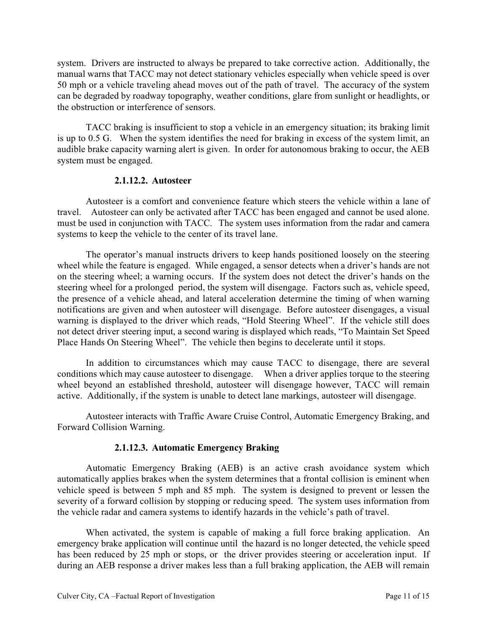system. Drivers are instructed to always be prepared to take corrective action. Additionally, the manual warns that TACC may not detect stationary vehicles especially when vehicle speed is over 50 mph or a vehicle traveling ahead moves out of the path of travel. The accuracy of the system can be degraded by roadway topography, weather conditions, glare from sunlight or headlights, or the obstruction or interference of sensors.

TACC braking is insufficient to stop a vehicle in an emergency situation; its braking limit is up to 0.5 G. When the system identifies the need for braking in excess of the system limit, an audible brake capacity warning alert is given. In order for autonomous braking to occur, the AEB system must be engaged.

### **2.1.12.2. Autosteer**

Autosteer is a comfort and convenience feature which steers the vehicle within a lane of travel. Autosteer can only be activated after TACC has been engaged and cannot be used alone. must be used in conjunction with TACC. The system uses information from the radar and camera systems to keep the vehicle to the center of its travel lane.

The operator's manual instructs drivers to keep hands positioned loosely on the steering wheel while the feature is engaged. While engaged, a sensor detects when a driver's hands are not on the steering wheel; a warning occurs. If the system does not detect the driver's hands on the steering wheel for a prolonged period, the system will disengage. Factors such as, vehicle speed, the presence of a vehicle ahead, and lateral acceleration determine the timing of when warning notifications are given and when autosteer will disengage. Before autosteer disengages, a visual warning is displayed to the driver which reads, "Hold Steering Wheel". If the vehicle still does not detect driver steering input, a second waring is displayed which reads, "To Maintain Set Speed Place Hands On Steering Wheel". The vehicle then begins to decelerate until it stops.

In addition to circumstances which may cause TACC to disengage, there are several conditions which may cause autosteer to disengage. When a driver applies torque to the steering wheel beyond an established threshold, autosteer will disengage however, TACC will remain active. Additionally, if the system is unable to detect lane markings, autosteer will disengage.

Autosteer interacts with Traffic Aware Cruise Control, Automatic Emergency Braking, and Forward Collision Warning.

# **2.1.12.3. Automatic Emergency Braking**

Automatic Emergency Braking (AEB) is an active crash avoidance system which automatically applies brakes when the system determines that a frontal collision is eminent when vehicle speed is between 5 mph and 85 mph. The system is designed to prevent or lessen the severity of a forward collision by stopping or reducing speed. The system uses information from the vehicle radar and camera systems to identify hazards in the vehicle's path of travel.

When activated, the system is capable of making a full force braking application. An emergency brake application will continue until the hazard is no longer detected, the vehicle speed has been reduced by 25 mph or stops, or the driver provides steering or acceleration input. If during an AEB response a driver makes less than a full braking application, the AEB will remain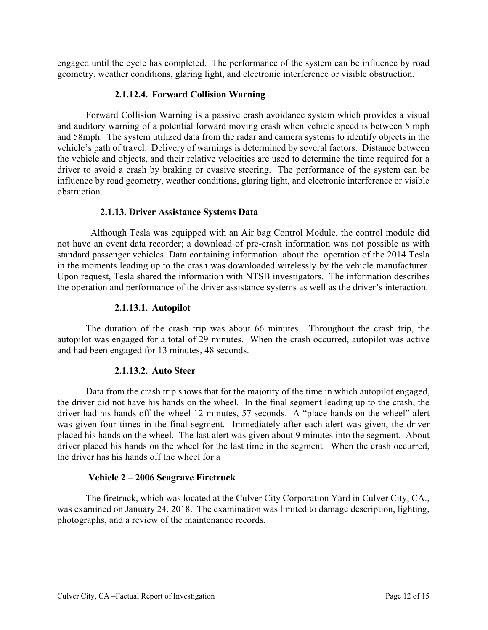engaged until the cycle has completed. The performance of the system can be influence by road geometry, weather conditions, glaring light, and electronic interference or visible obstruction.

## **2.1.12.4. Forward Collision Warning**

Forward Collision Warning is a passive crash avoidance system which provides a visual and auditory warning of a potential forward moving crash when vehicle speed is between 5 mph and 58mph. The system utilized data from the radar and camera systems to identify objects in the vehicle's path of travel. Delivery of warnings is determined by several factors. Distance between the vehicle and objects, and their relative velocities are used to determine the time required for a driver to avoid a crash by braking or evasive steering. The performance of the system can be influence by road geometry, weather conditions, glaring light, and electronic interference or visible obstruction.

## **2.1.13. Driver Assistance Systems Data**

 Although Tesla was equipped with an Air bag Control Module, the control module did not have an event data recorder; a download of pre-crash information was not possible as with standard passenger vehicles. Data containing information about the operation of the 2014 Tesla in the moments leading up to the crash was downloaded wirelessly by the vehicle manufacturer. Upon request, Tesla shared the information with NTSB investigators. The information describes the operation and performance of the driver assistance systems as well as the driver's interaction.

## **2.1.13.1. Autopilot**

The duration of the crash trip was about 66 minutes. Throughout the crash trip, the autopilot was engaged for a total of 29 minutes. When the crash occurred, autopilot was active and had been engaged for 13 minutes, 48 seconds.

### **2.1.13.2. Auto Steer**

Data from the crash trip shows that for the majority of the time in which autopilot engaged, the driver did not have his hands on the wheel. In the final segment leading up to the crash, the driver had his hands off the wheel 12 minutes, 57 seconds. A "place hands on the wheel" alert was given four times in the final segment. Immediately after each alert was given, the driver placed his hands on the wheel. The last alert was given about 9 minutes into the segment. About driver placed his hands on the wheel for the last time in the segment. When the crash occurred, the driver has his hands off the wheel for a

### **Vehicle 2 – 2006 Seagrave Firetruck**

The firetruck, which was located at the Culver City Corporation Yard in Culver City, CA., was examined on January 24, 2018. The examination was limited to damage description, lighting, photographs, and a review of the maintenance records.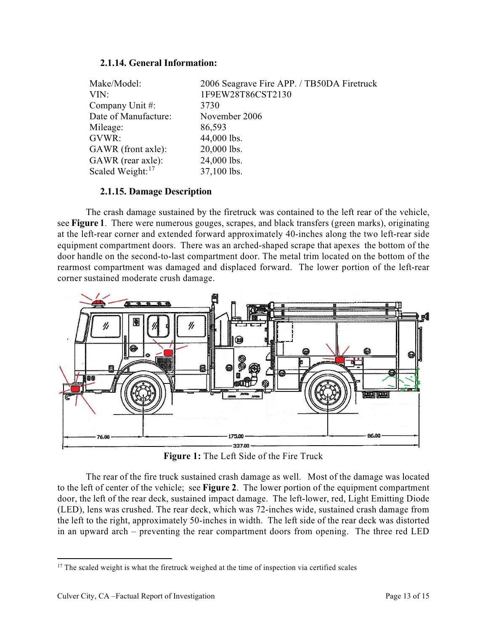## **2.1.14. General Information:**

| Make/Model:<br>VIN:          | 2006 Seagrave Fire APP. / TB50DA Firetruck<br>1F9EW28T86CST2130 |
|------------------------------|-----------------------------------------------------------------|
| Company Unit #:              | 3730                                                            |
| Date of Manufacture:         | November 2006                                                   |
| Mileage:                     | 86,593                                                          |
| GVWR:                        | 44,000 lbs.                                                     |
| GAWR (front axle):           | 20,000 lbs.                                                     |
| GAWR (rear axle):            | 24,000 lbs.                                                     |
| Scaled Weight: <sup>17</sup> | 37,100 lbs.                                                     |

## **2.1.15. Damage Description**

The crash damage sustained by the firetruck was contained to the left rear of the vehicle, see **Figure 1**. There were numerous gouges, scrapes, and black transfers (green marks), originating at the left-rear corner and extended forward approximately 40-inches along the two left-rear side equipment compartment doors. There was an arched-shaped scrape that apexes the bottom of the door handle on the second-to-last compartment door. The metal trim located on the bottom of the rearmost compartment was damaged and displaced forward. The lower portion of the left-rear corner sustained moderate crush damage.



**Figure 1:** The Left Side of the Fire Truck

The rear of the fire truck sustained crash damage as well. Most of the damage was located to the left of center of the vehicle; see **Figure 2**. The lower portion of the equipment compartment door, the left of the rear deck, sustained impact damage. The left-lower, red, Light Emitting Diode (LED), lens was crushed. The rear deck, which was 72-inches wide, sustained crash damage from the left to the right, approximately 50-inches in width. The left side of the rear deck was distorted in an upward arch – preventing the rear compartment doors from opening. The three red LED

<sup>&</sup>lt;sup>17</sup> The scaled weight is what the firetruck weighed at the time of inspection via certified scales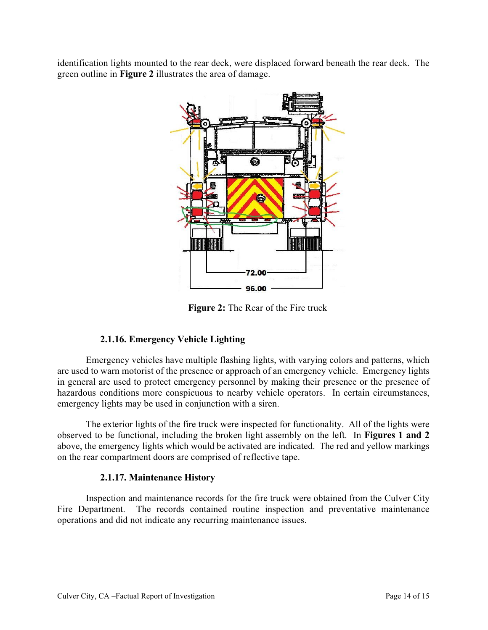identification lights mounted to the rear deck, were displaced forward beneath the rear deck. The green outline in **Figure 2** illustrates the area of damage.



**Figure 2:** The Rear of the Fire truck

# **2.1.16. Emergency Vehicle Lighting**

Emergency vehicles have multiple flashing lights, with varying colors and patterns, which are used to warn motorist of the presence or approach of an emergency vehicle. Emergency lights in general are used to protect emergency personnel by making their presence or the presence of hazardous conditions more conspicuous to nearby vehicle operators. In certain circumstances, emergency lights may be used in conjunction with a siren.

The exterior lights of the fire truck were inspected for functionality. All of the lights were observed to be functional, including the broken light assembly on the left. In **Figures 1 and 2** above, the emergency lights which would be activated are indicated. The red and yellow markings on the rear compartment doors are comprised of reflective tape.

# **2.1.17. Maintenance History**

Inspection and maintenance records for the fire truck were obtained from the Culver City Fire Department. The records contained routine inspection and preventative maintenance operations and did not indicate any recurring maintenance issues.